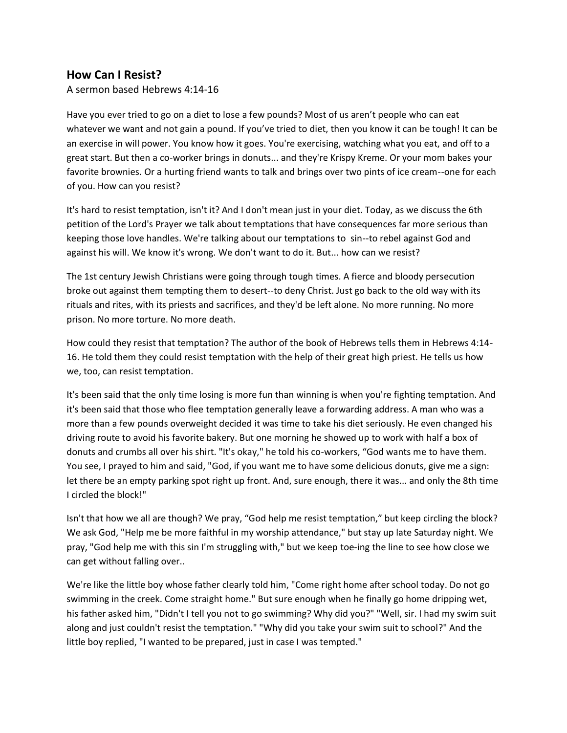## **How Can I Resist?**

A sermon based Hebrews 4:14-16

Have you ever tried to go on a diet to lose a few pounds? Most of us aren't people who can eat whatever we want and not gain a pound. If you've tried to diet, then you know it can be tough! It can be an exercise in will power. You know how it goes. You're exercising, watching what you eat, and off to a great start. But then a co-worker brings in donuts... and they're Krispy Kreme. Or your mom bakes your favorite brownies. Or a hurting friend wants to talk and brings over two pints of ice cream--one for each of you. How can you resist?

It's hard to resist temptation, isn't it? And I don't mean just in your diet. Today, as we discuss the 6th petition of the Lord's Prayer we talk about temptations that have consequences far more serious than keeping those love handles. We're talking about our temptations to sin--to rebel against God and against his will. We know it's wrong. We don't want to do it. But... how can we resist?

The 1st century Jewish Christians were going through tough times. A fierce and bloody persecution broke out against them tempting them to desert--to deny Christ. Just go back to the old way with its rituals and rites, with its priests and sacrifices, and they'd be left alone. No more running. No more prison. No more torture. No more death.

How could they resist that temptation? The author of the book of Hebrews tells them in Hebrews 4:14- 16. He told them they could resist temptation with the help of their great high priest. He tells us how we, too, can resist temptation.

It's been said that the only time losing is more fun than winning is when you're fighting temptation. And it's been said that those who flee temptation generally leave a forwarding address. A man who was a more than a few pounds overweight decided it was time to take his diet seriously. He even changed his driving route to avoid his favorite bakery. But one morning he showed up to work with half a box of donuts and crumbs all over his shirt. "It's okay," he told his co-workers, "God wants me to have them. You see, I prayed to him and said, "God, if you want me to have some delicious donuts, give me a sign: let there be an empty parking spot right up front. And, sure enough, there it was... and only the 8th time I circled the block!"

Isn't that how we all are though? We pray, "God help me resist temptation," but keep circling the block? We ask God, "Help me be more faithful in my worship attendance," but stay up late Saturday night. We pray, "God help me with this sin I'm struggling with," but we keep toe-ing the line to see how close we can get without falling over..

We're like the little boy whose father clearly told him, "Come right home after school today. Do not go swimming in the creek. Come straight home." But sure enough when he finally go home dripping wet, his father asked him, "Didn't I tell you not to go swimming? Why did you?" "Well, sir. I had my swim suit along and just couldn't resist the temptation." "Why did you take your swim suit to school?" And the little boy replied, "I wanted to be prepared, just in case I was tempted."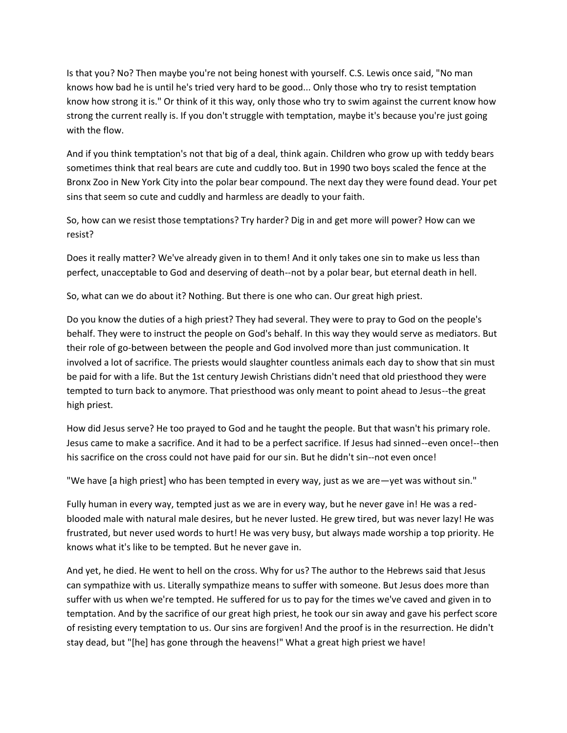Is that you? No? Then maybe you're not being honest with yourself. C.S. Lewis once said, "No man knows how bad he is until he's tried very hard to be good... Only those who try to resist temptation know how strong it is." Or think of it this way, only those who try to swim against the current know how strong the current really is. If you don't struggle with temptation, maybe it's because you're just going with the flow.

And if you think temptation's not that big of a deal, think again. Children who grow up with teddy bears sometimes think that real bears are cute and cuddly too. But in 1990 two boys scaled the fence at the Bronx Zoo in New York City into the polar bear compound. The next day they were found dead. Your pet sins that seem so cute and cuddly and harmless are deadly to your faith.

So, how can we resist those temptations? Try harder? Dig in and get more will power? How can we resist?

Does it really matter? We've already given in to them! And it only takes one sin to make us less than perfect, unacceptable to God and deserving of death--not by a polar bear, but eternal death in hell.

So, what can we do about it? Nothing. But there is one who can. Our great high priest.

Do you know the duties of a high priest? They had several. They were to pray to God on the people's behalf. They were to instruct the people on God's behalf. In this way they would serve as mediators. But their role of go-between between the people and God involved more than just communication. It involved a lot of sacrifice. The priests would slaughter countless animals each day to show that sin must be paid for with a life. But the 1st century Jewish Christians didn't need that old priesthood they were tempted to turn back to anymore. That priesthood was only meant to point ahead to Jesus--the great high priest.

How did Jesus serve? He too prayed to God and he taught the people. But that wasn't his primary role. Jesus came to make a sacrifice. And it had to be a perfect sacrifice. If Jesus had sinned--even once!--then his sacrifice on the cross could not have paid for our sin. But he didn't sin--not even once!

"We have [a high priest] who has been tempted in every way, just as we are—yet was without sin."

Fully human in every way, tempted just as we are in every way, but he never gave in! He was a redblooded male with natural male desires, but he never lusted. He grew tired, but was never lazy! He was frustrated, but never used words to hurt! He was very busy, but always made worship a top priority. He knows what it's like to be tempted. But he never gave in.

And yet, he died. He went to hell on the cross. Why for us? The author to the Hebrews said that Jesus can sympathize with us. Literally sympathize means to suffer with someone. But Jesus does more than suffer with us when we're tempted. He suffered for us to pay for the times we've caved and given in to temptation. And by the sacrifice of our great high priest, he took our sin away and gave his perfect score of resisting every temptation to us. Our sins are forgiven! And the proof is in the resurrection. He didn't stay dead, but "[he] has gone through the heavens!" What a great high priest we have!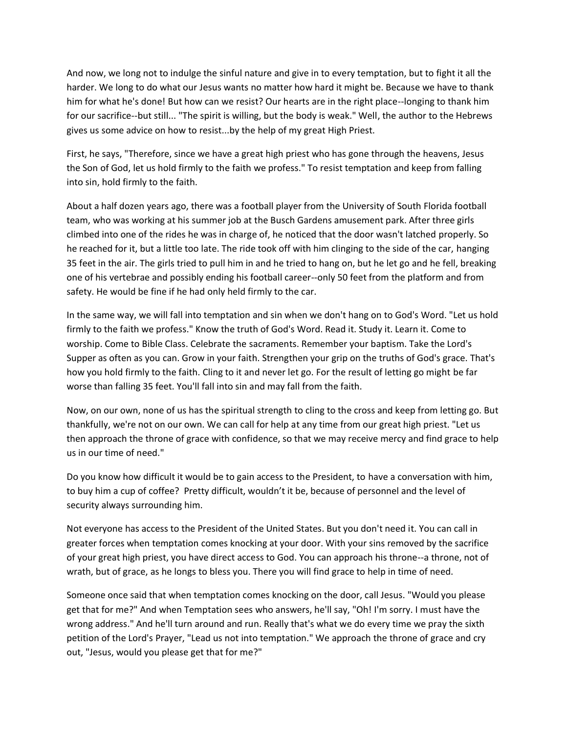And now, we long not to indulge the sinful nature and give in to every temptation, but to fight it all the harder. We long to do what our Jesus wants no matter how hard it might be. Because we have to thank him for what he's done! But how can we resist? Our hearts are in the right place--longing to thank him for our sacrifice--but still... "The spirit is willing, but the body is weak." Well, the author to the Hebrews gives us some advice on how to resist...by the help of my great High Priest.

First, he says, "Therefore, since we have a great high priest who has gone through the heavens, Jesus the Son of God, let us hold firmly to the faith we profess." To resist temptation and keep from falling into sin, hold firmly to the faith.

About a half dozen years ago, there was a football player from the University of South Florida football team, who was working at his summer job at the Busch Gardens amusement park. After three girls climbed into one of the rides he was in charge of, he noticed that the door wasn't latched properly. So he reached for it, but a little too late. The ride took off with him clinging to the side of the car, hanging 35 feet in the air. The girls tried to pull him in and he tried to hang on, but he let go and he fell, breaking one of his vertebrae and possibly ending his football career--only 50 feet from the platform and from safety. He would be fine if he had only held firmly to the car.

In the same way, we will fall into temptation and sin when we don't hang on to God's Word. "Let us hold firmly to the faith we profess." Know the truth of God's Word. Read it. Study it. Learn it. Come to worship. Come to Bible Class. Celebrate the sacraments. Remember your baptism. Take the Lord's Supper as often as you can. Grow in your faith. Strengthen your grip on the truths of God's grace. That's how you hold firmly to the faith. Cling to it and never let go. For the result of letting go might be far worse than falling 35 feet. You'll fall into sin and may fall from the faith.

Now, on our own, none of us has the spiritual strength to cling to the cross and keep from letting go. But thankfully, we're not on our own. We can call for help at any time from our great high priest. "Let us then approach the throne of grace with confidence, so that we may receive mercy and find grace to help us in our time of need."

Do you know how difficult it would be to gain access to the President, to have a conversation with him, to buy him a cup of coffee? Pretty difficult, wouldn't it be, because of personnel and the level of security always surrounding him.

Not everyone has access to the President of the United States. But you don't need it. You can call in greater forces when temptation comes knocking at your door. With your sins removed by the sacrifice of your great high priest, you have direct access to God. You can approach his throne--a throne, not of wrath, but of grace, as he longs to bless you. There you will find grace to help in time of need.

Someone once said that when temptation comes knocking on the door, call Jesus. "Would you please get that for me?" And when Temptation sees who answers, he'll say, "Oh! I'm sorry. I must have the wrong address." And he'll turn around and run. Really that's what we do every time we pray the sixth petition of the Lord's Prayer, "Lead us not into temptation." We approach the throne of grace and cry out, "Jesus, would you please get that for me?"